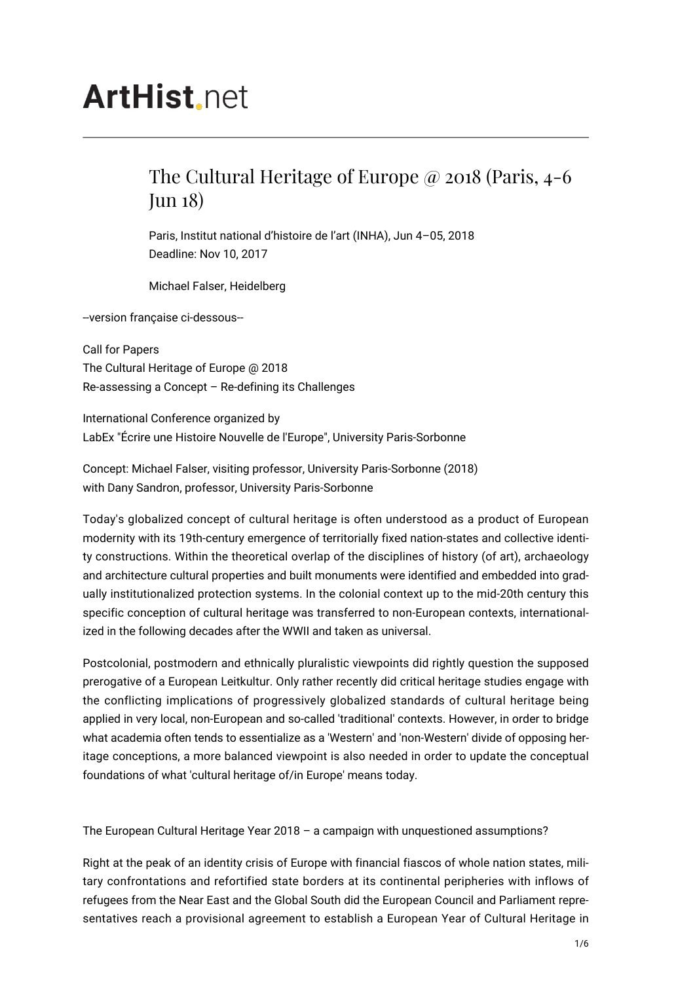## **ArtHist**, net

## The Cultural Heritage of Europe @ 2018 (Paris, 4-6 Jun 18)

Paris, Institut national d'histoire de l'art (INHA), Jun 4–05, 2018 Deadline: Nov 10, 2017

Michael Falser, Heidelberg

--version française ci-dessous--

Call for Papers The Cultural Heritage of Europe @ 2018 Re-assessing a Concept – Re-defining its Challenges

International Conference organized by LabEx "Écrire une Histoire Nouvelle de l'Europe", University Paris-Sorbonne

Concept: Michael Falser, visiting professor, University Paris-Sorbonne (2018) with Dany Sandron, professor, University Paris-Sorbonne

Today's globalized concept of cultural heritage is often understood as a product of European modernity with its 19th-century emergence of territorially fixed nation-states and collective identity constructions. Within the theoretical overlap of the disciplines of history (of art), archaeology and architecture cultural properties and built monuments were identified and embedded into gradually institutionalized protection systems. In the colonial context up to the mid-20th century this specific conception of cultural heritage was transferred to non-European contexts, internationalized in the following decades after the WWII and taken as universal.

Postcolonial, postmodern and ethnically pluralistic viewpoints did rightly question the supposed prerogative of a European Leitkultur. Only rather recently did critical heritage studies engage with the conflicting implications of progressively globalized standards of cultural heritage being applied in very local, non-European and so-called 'traditional' contexts. However, in order to bridge what academia often tends to essentialize as a 'Western' and 'non-Western' divide of opposing heritage conceptions, a more balanced viewpoint is also needed in order to update the conceptual foundations of what 'cultural heritage of/in Europe' means today.

The European Cultural Heritage Year 2018 – a campaign with unquestioned assumptions?

Right at the peak of an identity crisis of Europe with financial fiascos of whole nation states, military confrontations and refortified state borders at its continental peripheries with inflows of refugees from the Near East and the Global South did the European Council and Parliament representatives reach a provisional agreement to establish a European Year of Cultural Heritage in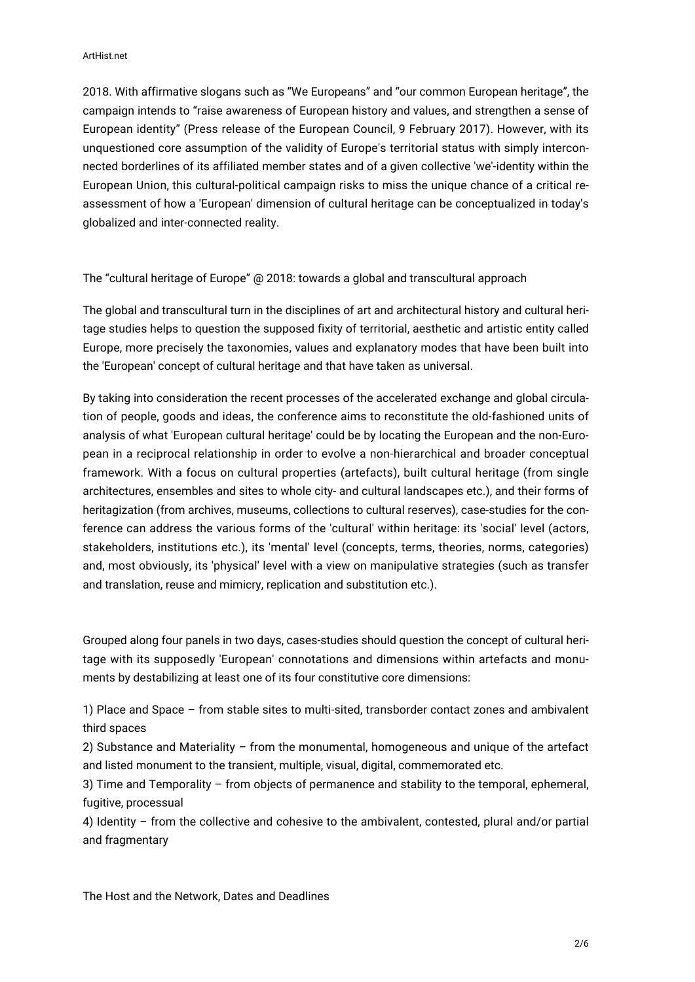2018. With affirmative slogans such as "We Europeans" and "our common European heritage", the campaign intends to "raise awareness of European history and values, and strengthen a sense of European identity" (Press release of the European Council, 9 February 2017). However, with its unquestioned core assumption of the validity of Europe's territorial status with simply interconnected borderlines of its affiliated member states and of a given collective 'we'-identity within the European Union, this cultural-political campaign risks to miss the unique chance of a critical reassessment of how a 'European' dimension of cultural heritage can be conceptualized in today's globalized and inter-connected reality.

The "cultural heritage of Europe" @ 2018: towards a global and transcultural approach

The global and transcultural turn in the disciplines of art and architectural history and cultural heritage studies helps to question the supposed fixity of territorial, aesthetic and artistic entity called Europe, more precisely the taxonomies, values and explanatory modes that have been built into the 'European' concept of cultural heritage and that have taken as universal.

By taking into consideration the recent processes of the accelerated exchange and global circulation of people, goods and ideas, the conference aims to reconstitute the old-fashioned units of analysis of what 'European cultural heritage' could be by locating the European and the non-European in a reciprocal relationship in order to evolve a non-hierarchical and broader conceptual framework. With a focus on cultural properties (artefacts), built cultural heritage (from single architectures, ensembles and sites to whole city- and cultural landscapes etc.), and their forms of heritagization (from archives, museums, collections to cultural reserves), case-studies for the conference can address the various forms of the 'cultural' within heritage: its 'social' level (actors, stakeholders, institutions etc.), its 'mental' level (concepts, terms, theories, norms, categories) and, most obviously, its 'physical' level with a view on manipulative strategies (such as transfer and translation, reuse and mimicry, replication and substitution etc.).

Grouped along four panels in two days, cases-studies should question the concept of cultural heritage with its supposedly 'European' connotations and dimensions within artefacts and monuments by destabilizing at least one of its four constitutive core dimensions:

1) Place and Space – from stable sites to multi-sited, transborder contact zones and ambivalent third spaces

2) Substance and Materiality – from the monumental, homogeneous and unique of the artefact and listed monument to the transient, multiple, visual, digital, commemorated etc.

3) Time and Temporality – from objects of permanence and stability to the temporal, ephemeral, fugitive, processual

4) Identity – from the collective and cohesive to the ambivalent, contested, plural and/or partial and fragmentary

The Host and the Network, Dates and Deadlines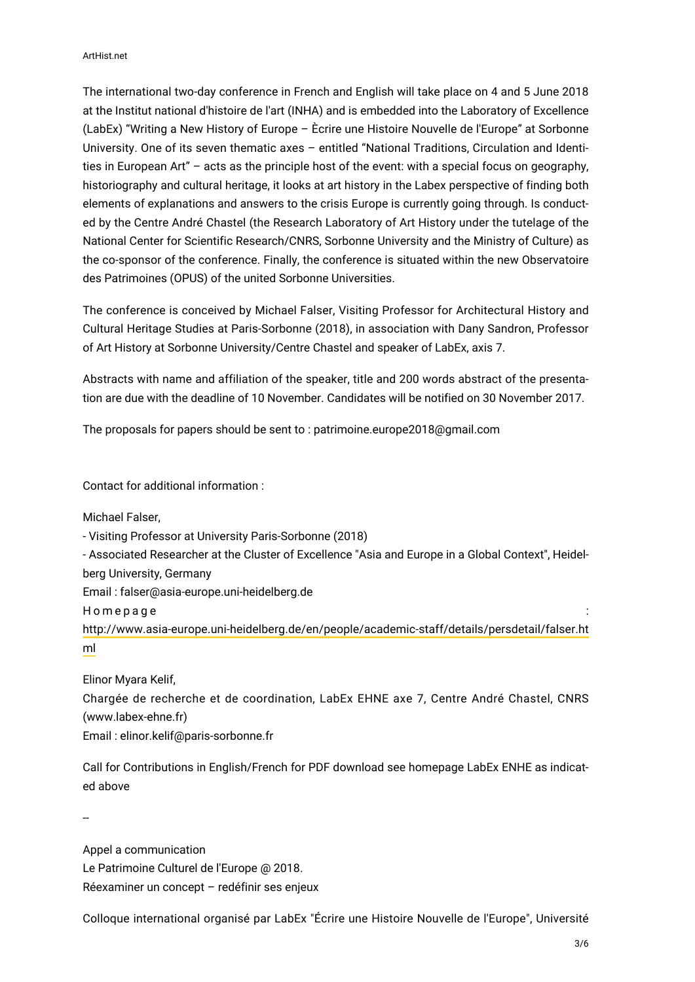The international two-day conference in French and English will take place on 4 and 5 June 2018 at the Institut national d'histoire de l'art (INHA) and is embedded into the Laboratory of Excellence (LabEx) "Writing a New History of Europe – Ècrire une Histoire Nouvelle de l'Europe" at Sorbonne University. One of its seven thematic axes – entitled "National Traditions, Circulation and Identities in European Art" – acts as the principle host of the event: with a special focus on geography, historiography and cultural heritage, it looks at art history in the Labex perspective of finding both elements of explanations and answers to the crisis Europe is currently going through. Is conducted by the Centre André Chastel (the Research Laboratory of Art History under the tutelage of the National Center for Scientific Research/CNRS, Sorbonne University and the Ministry of Culture) as the co-sponsor of the conference. Finally, the conference is situated within the new Observatoire des Patrimoines (OPUS) of the united Sorbonne Universities.

The conference is conceived by Michael Falser, Visiting Professor for Architectural History and Cultural Heritage Studies at Paris-Sorbonne (2018), in association with Dany Sandron, Professor of Art History at Sorbonne University/Centre Chastel and speaker of LabEx, axis 7.

Abstracts with name and affiliation of the speaker, title and 200 words abstract of the presentation are due with the deadline of 10 November. Candidates will be notified on 30 November 2017.

The proposals for papers should be sent to : patrimoine.europe2018@gmail.com

Contact for additional information :

Michael Falser,

- Visiting Professor at University Paris-Sorbonne (2018)

- Associated Researcher at the Cluster of Excellence "Asia and Europe in a Global Context", Heidel-

berg University, Germany

Email : falser@asia-europe.uni-heidelberg.de

Homepage :

[http://www.asia-europe.uni-heidelberg.de/en/people/academic-staff/details/persdetail/falser.ht](http://www.asia-europe.uni-heidelberg.de/en/people/academic-staff/details/persdetail/falser.html) [ml](http://www.asia-europe.uni-heidelberg.de/en/people/academic-staff/details/persdetail/falser.html)

Elinor Myara Kelif,

Chargée de recherche et de coordination, LabEx EHNE axe 7, Centre André Chastel, CNRS (www.labex-ehne.fr)

Email : elinor.kelif@paris-sorbonne.fr

Call for Contributions in English/French for PDF download see homepage LabEx ENHE as indicated above

--

Appel a communication Le Patrimoine Culturel de l'Europe @ 2018. Réexaminer un concept – redéfinir ses enjeux

Colloque international organisé par LabEx "Écrire une Histoire Nouvelle de l'Europe", Université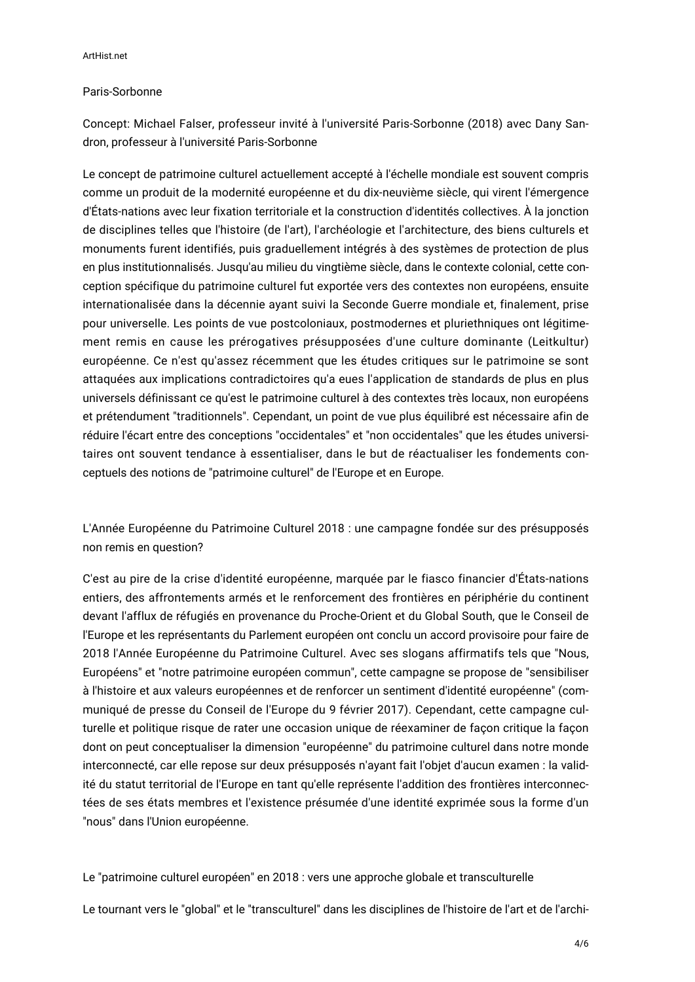## Paris-Sorbonne

Concept: Michael Falser, professeur invité à l'université Paris-Sorbonne (2018) avec Dany Sandron, professeur à l'université Paris-Sorbonne

Le concept de patrimoine culturel actuellement accepté à l'échelle mondiale est souvent compris comme un produit de la modernité européenne et du dix-neuvième siècle, qui virent l'émergence d'États-nations avec leur fixation territoriale et la construction d'identités collectives. À la jonction de disciplines telles que l'histoire (de l'art), l'archéologie et l'architecture, des biens culturels et monuments furent identifiés, puis graduellement intégrés à des systèmes de protection de plus en plus institutionnalisés. Jusqu'au milieu du vingtième siècle, dans le contexte colonial, cette conception spécifique du patrimoine culturel fut exportée vers des contextes non européens, ensuite internationalisée dans la décennie ayant suivi la Seconde Guerre mondiale et, finalement, prise pour universelle. Les points de vue postcoloniaux, postmodernes et pluriethniques ont légitimement remis en cause les prérogatives présupposées d'une culture dominante (Leitkultur) européenne. Ce n'est qu'assez récemment que les études critiques sur le patrimoine se sont attaquées aux implications contradictoires qu'a eues l'application de standards de plus en plus universels définissant ce qu'est le patrimoine culturel à des contextes très locaux, non européens et prétendument "traditionnels". Cependant, un point de vue plus équilibré est nécessaire afin de réduire l'écart entre des conceptions "occidentales" et "non occidentales" que les études universitaires ont souvent tendance à essentialiser, dans le but de réactualiser les fondements conceptuels des notions de "patrimoine culturel" de l'Europe et en Europe.

L'Année Européenne du Patrimoine Culturel 2018 : une campagne fondée sur des présupposés non remis en question?

C'est au pire de la crise d'identité européenne, marquée par le fiasco financier d'États-nations entiers, des affrontements armés et le renforcement des frontières en périphérie du continent devant l'afflux de réfugiés en provenance du Proche-Orient et du Global South, que le Conseil de l'Europe et les représentants du Parlement européen ont conclu un accord provisoire pour faire de 2018 l'Année Européenne du Patrimoine Culturel. Avec ses slogans affirmatifs tels que "Nous, Européens" et "notre patrimoine européen commun", cette campagne se propose de "sensibiliser à l'histoire et aux valeurs européennes et de renforcer un sentiment d'identité européenne" (communiqué de presse du Conseil de l'Europe du 9 février 2017). Cependant, cette campagne culturelle et politique risque de rater une occasion unique de réexaminer de façon critique la façon dont on peut conceptualiser la dimension "européenne" du patrimoine culturel dans notre monde interconnecté, car elle repose sur deux présupposés n'ayant fait l'objet d'aucun examen : la validité du statut territorial de l'Europe en tant qu'elle représente l'addition des frontières interconnectées de ses états membres et l'existence présumée d'une identité exprimée sous la forme d'un "nous" dans l'Union européenne.

Le "patrimoine culturel européen" en 2018 : vers une approche globale et transculturelle

Le tournant vers le "global" et le "transculturel" dans les disciplines de l'histoire de l'art et de l'archi-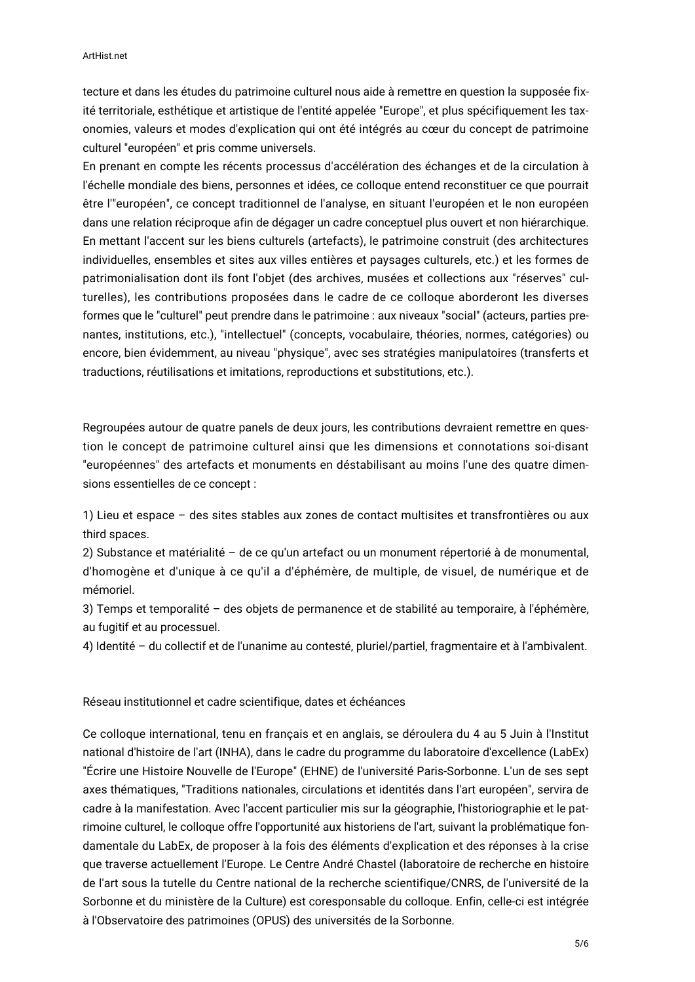tecture et dans les études du patrimoine culturel nous aide à remettre en question la supposée fixité territoriale, esthétique et artistique de l'entité appelée "Europe", et plus spécifiquement les taxonomies, valeurs et modes d'explication qui ont été intégrés au cœur du concept de patrimoine culturel "européen" et pris comme universels.

En prenant en compte les récents processus d'accélération des échanges et de la circulation à l'échelle mondiale des biens, personnes et idées, ce colloque entend reconstituer ce que pourrait être l'"européen", ce concept traditionnel de l'analyse, en situant l'européen et le non européen dans une relation réciproque afin de dégager un cadre conceptuel plus ouvert et non hiérarchique. En mettant l'accent sur les biens culturels (artefacts), le patrimoine construit (des architectures individuelles, ensembles et sites aux villes entières et paysages culturels, etc.) et les formes de patrimonialisation dont ils font l'objet (des archives, musées et collections aux "réserves" culturelles), les contributions proposées dans le cadre de ce colloque aborderont les diverses formes que le "culturel" peut prendre dans le patrimoine : aux niveaux "social" (acteurs, parties prenantes, institutions, etc.), "intellectuel" (concepts, vocabulaire, théories, normes, catégories) ou encore, bien évidemment, au niveau "physique", avec ses stratégies manipulatoires (transferts et traductions, réutilisations et imitations, reproductions et substitutions, etc.).

Regroupées autour de quatre panels de deux jours, les contributions devraient remettre en question le concept de patrimoine culturel ainsi que les dimensions et connotations soi-disant "européennes" des artefacts et monuments en déstabilisant au moins l'une des quatre dimensions essentielles de ce concept :

1) Lieu et espace – des sites stables aux zones de contact multisites et transfrontières ou aux third spaces.

2) Substance et matérialité – de ce qu'un artefact ou un monument répertorié à de monumental, d'homogène et d'unique à ce qu'il a d'éphémère, de multiple, de visuel, de numérique et de mémoriel.

3) Temps et temporalité – des objets de permanence et de stabilité au temporaire, à l'éphémère, au fugitif et au processuel.

4) Identité – du collectif et de l'unanime au contesté, pluriel/partiel, fragmentaire et à l'ambivalent.

Réseau institutionnel et cadre scientifique, dates et échéances

Ce colloque international, tenu en français et en anglais, se déroulera du 4 au 5 Juin à l'Institut national d'histoire de l'art (INHA), dans le cadre du programme du laboratoire d'excellence (LabEx) "Écrire une Histoire Nouvelle de l'Europe" (EHNE) de l'université Paris-Sorbonne. L'un de ses sept axes thématiques, "Traditions nationales, circulations et identités dans l'art européen", servira de cadre à la manifestation. Avec l'accent particulier mis sur la géographie, l'historiographie et le patrimoine culturel, le colloque offre l'opportunité aux historiens de l'art, suivant la problématique fondamentale du LabEx, de proposer à la fois des éléments d'explication et des réponses à la crise que traverse actuellement l'Europe. Le Centre André Chastel (laboratoire de recherche en histoire de l'art sous la tutelle du Centre national de la recherche scientifique/CNRS, de l'université de la Sorbonne et du ministère de la Culture) est coresponsable du colloque. Enfin, celle-ci est intégrée à l'Observatoire des patrimoines (OPUS) des universités de la Sorbonne.